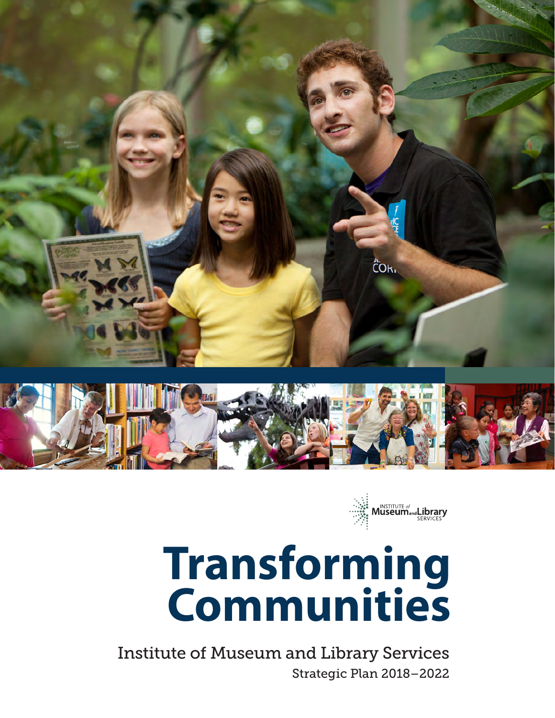



# **Transforming Communities**

Strategic Plan 2018–2022 Institute of Museum and Library Services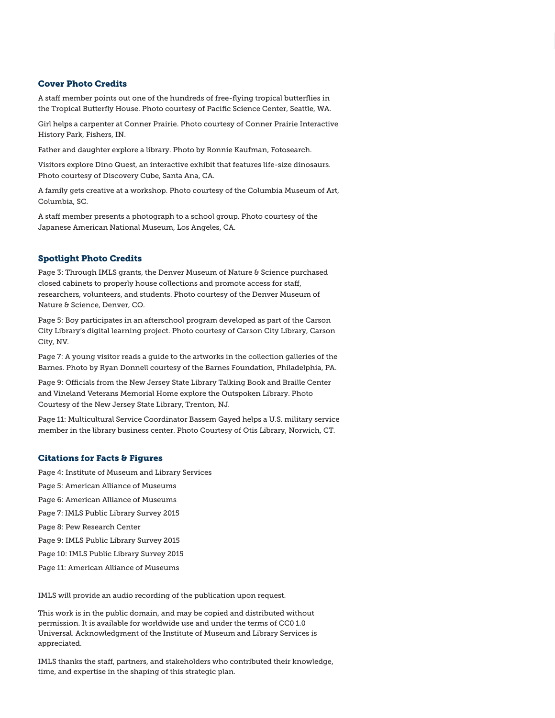#### Cover Photo Credits

A staff member points out one of the hundreds of free-flying tropical butterflies in the Tropical Butterfly House. Photo courtesy of Pacific Science Center, Seattle, WA.

Girl helps a carpenter at Conner Prairie. Photo courtesy of Conner Prairie Interactive History Park, Fishers, IN.

Father and daughter explore a library. Photo by Ronnie Kaufman, Fotosearch.

Visitors explore Dino Quest, an interactive exhibit that features life-size dinosaurs. Photo courtesy of Discovery Cube, Santa Ana, CA.

A family gets creative at a workshop. Photo courtesy of the Columbia Museum of Art, Columbia, SC.

A staff member presents a photograph to a school group. Photo courtesy of the Japanese American National Museum, Los Angeles, CA.

#### Spotlight Photo Credits

Page 3: Through IMLS grants, the Denver Museum of Nature & Science purchased closed cabinets to properly house collections and promote access for staff, researchers, volunteers, and students. Photo courtesy of the Denver Museum of Nature & Science, Denver, CO.

Page 5: Boy participates in an afterschool program developed as part of the Carson City Library's digital learning project. Photo courtesy of Carson City Library, Carson City, NV.

Page 7: A young visitor reads a guide to the artworks in the collection galleries of the Barnes. Photo by Ryan Donnell courtesy of the Barnes Foundation, Philadelphia, PA.

Page 9: Officials from the New Jersey State Library Talking Book and Braille Center and Vineland Veterans Memorial Home explore the Outspoken Library. Photo Courtesy of the New Jersey State Library, Trenton, NJ.

Page 11: Multicultural Service Coordinator Bassem Gayed helps a U.S. military service member in the library business center. Photo Courtesy of Otis Library, Norwich, CT.

#### Citations for Facts & Figures

Page 4: Institute of Museum and Library Services

- Page 5: American Alliance of Museums
- Page 6: American Alliance of Museums
- Page 7: IMLS Public Library Survey 2015

Page 8: Pew Research Center

- Page 9: IMLS Public Library Survey 2015
- Page 10: IMLS Public Library Survey 2015
- Page 11: American Alliance of Museums

IMLS will provide an audio recording of the publication upon request.

This work is in the public domain, and may be copied and distributed without permission. It is available for worldwide use and under the terms of CC0 1.0 Universal. Acknowledgment of the Institute of Museum and Library Services is appreciated.

IMLS thanks the staff, partners, and stakeholders who contributed their knowledge, time, and expertise in the shaping of this strategic plan.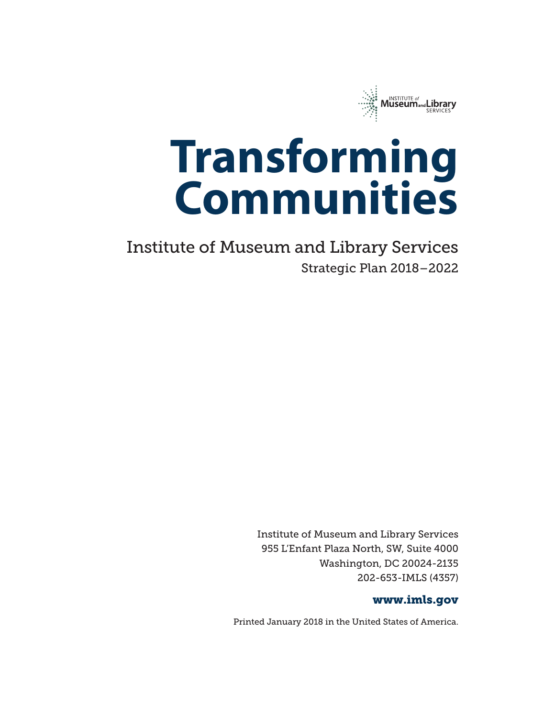

# **Transforming Communities**

Strategic Plan 2018–2022 Institute of Museum and Library Services

> Institute of Museum and Library Services 955 L'Enfant Plaza North, SW, Suite 4000 Washington, DC 20024-2135 202-653-IMLS (4357)

#### www.imls.gov

Printed January 2018 in the United States of America.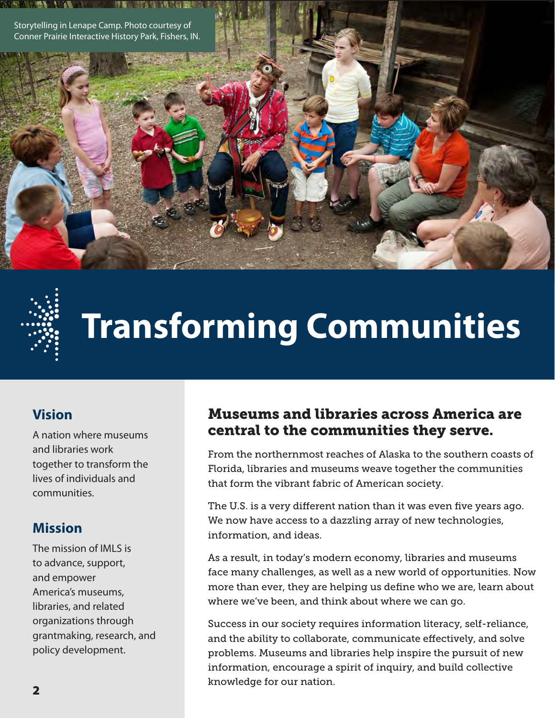Storytelling in Lenape Camp. Photo courtesy of Conner Prairie Interactive History Park, Fishers, IN.



# **Transforming Communities**

### **Vision**

A nation where museums and libraries work together to transform the lives of individuals and communities.

### **Mission**

The mission of IMLS is to advance, support, and empower America's museums, libraries, and related organizations through grantmaking, research, and policy development.

### Museums and libraries across America are central to the communities they serve.

From the northernmost reaches of Alaska to the southern coasts of Florida, libraries and museums weave together the communities that form the vibrant fabric of American society.

The U.S. is a very different nation than it was even five years ago. We now have access to a dazzling array of new technologies, information, and ideas.

As a result, in today's modern economy, libraries and museums face many challenges, as well as a new world of opportunities. Now more than ever, they are helping us define who we are, learn about where we've been, and think about where we can go.

Success in our society requires information literacy, self-reliance, and the ability to collaborate, communicate effectively, and solve problems. Museums and libraries help inspire the pursuit of new information, encourage a spirit of inquiry, and build collective knowledge for our nation.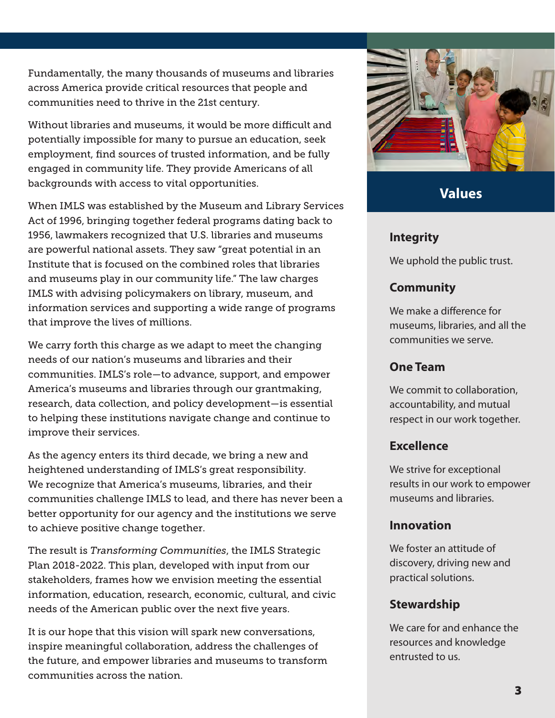Fundamentally, the many thousands of museums and libraries across America provide critical resources that people and communities need to thrive in the 21st century.

Without libraries and museums, it would be more difficult and potentially impossible for many to pursue an education, seek employment, find sources of trusted information, and be fully engaged in community life. They provide Americans of all backgrounds with access to vital opportunities.

When IMLS was established by the Museum and Library Services Act of 1996, bringing together federal programs dating back to 1956, lawmakers recognized that U.S. libraries and museums are powerful national assets. They saw "great potential in an Institute that is focused on the combined roles that libraries and museums play in our community life." The law charges IMLS with advising policymakers on library, museum, and information services and supporting a wide range of programs that improve the lives of millions.

We carry forth this charge as we adapt to meet the changing needs of our nation's museums and libraries and their communities. IMLS's role—to advance, support, and empower America's museums and libraries through our grantmaking, research, data collection, and policy development—is essential to helping these institutions navigate change and continue to improve their services.

As the agency enters its third decade, we bring a new and heightened understanding of IMLS's great responsibility. We recognize that America's museums, libraries, and their communities challenge IMLS to lead, and there has never been a better opportunity for our agency and the institutions we serve to achieve positive change together.

The result is *Transforming Communities*, the IMLS Strategic Plan 2018-2022. This plan, developed with input from our stakeholders, frames how we envision meeting the essential information, education, research, economic, cultural, and civic needs of the American public over the next five years.

It is our hope that this vision will spark new conversations, inspire meaningful collaboration, address the challenges of the future, and empower libraries and museums to transform communities across the nation.



### **Values**

### **Integrity**

We uphold the public trust.

### **Community**

We make a difference for museums, libraries, and all the communities we serve.

### **One Team**

We commit to collaboration, accountability, and mutual respect in our work together.

### **Excellence**

We strive for exceptional results in our work to empower museums and libraries.

### **Innovation**

We foster an attitude of discovery, driving new and practical solutions.

### **Stewardship**

We care for and enhance the resources and knowledge entrusted to us.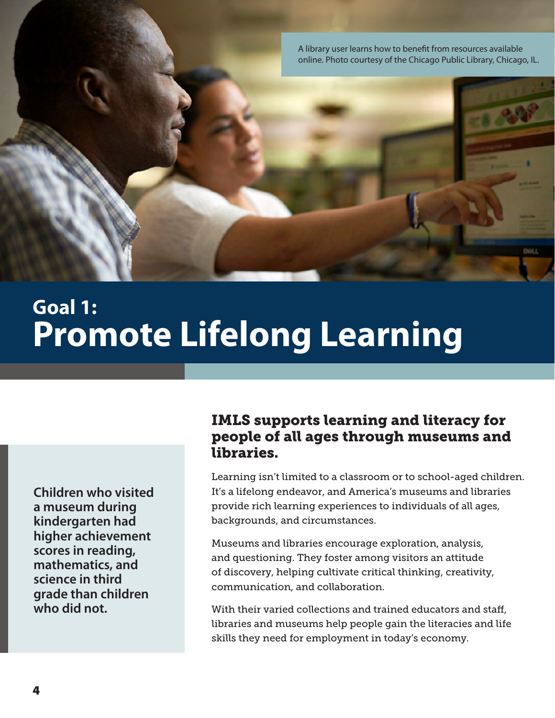A library user learns how to benefit from resources available online. Photo courtesy of the Chicago Public Library, Chicago, IL.

## **Goal 1: Promote Lifelong Learning**

**Children who visited a museum during kindergarten had higher achievement scores in reading, mathematics, and science in third grade than children who did not.**

### IMLS supports learning and literacy for people of all ages through museums and libraries.

Learning isn't limited to a classroom or to school-aged children. It's a lifelong endeavor, and America's museums and libraries provide rich learning experiences to individuals of all ages, backgrounds, and circumstances.

Museums and libraries encourage exploration, analysis, and questioning. They foster among visitors an attitude of discovery, helping cultivate critical thinking, creativity, communication, and collaboration.

With their varied collections and trained educators and staff, libraries and museums help people gain the literacies and life skills they need for employment in today's economy.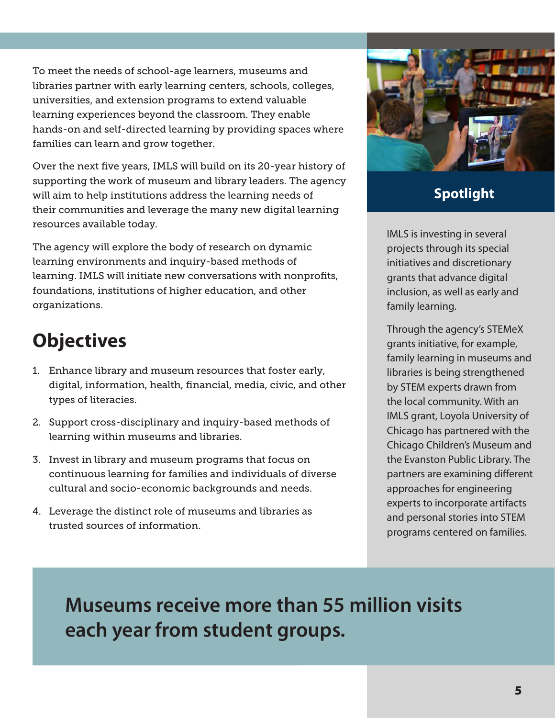To meet the needs of school-age learners, museums and libraries partner with early learning centers, schools, colleges, universities, and extension programs to extend valuable learning experiences beyond the classroom. They enable hands-on and self-directed learning by providing spaces where families can learn and grow together.

Over the next five years, IMLS will build on its 20-year history of supporting the work of museum and library leaders. The agency will aim to help institutions address the learning needs of their communities and leverage the many new digital learning resources available today.

The agency will explore the body of research on dynamic learning environments and inquiry-based methods of learning. IMLS will initiate new conversations with nonprofits, foundations, institutions of higher education, and other organizations.

### **Objectives**

- 1. Enhance library and museum resources that foster early, digital, information, health, financial, media, civic, and other types of literacies.
- 2. Support cross-disciplinary and inquiry-based methods of learning within museums and libraries.
- 3. Invest in library and museum programs that focus on continuous learning for families and individuals of diverse cultural and socio-economic backgrounds and needs.
- 4. Leverage the distinct role of museums and libraries as trusted sources of information.



### **Spotlight**

IMLS is investing in several projects through its special initiatives and discretionary grants that advance digital inclusion, as well as early and family learning.

Through the agency's STEMeX grants initiative, for example, family learning in museums and libraries is being strengthened by STEM experts drawn from the local community. With an IMLS grant, Loyola University of Chicago has partnered with the Chicago Children's Museum and the Evanston Public Library. The partners are examining different approaches for engineering experts to incorporate artifacts and personal stories into STEM programs centered on families.

**Museums receive more than 55 million visits each year from student groups.**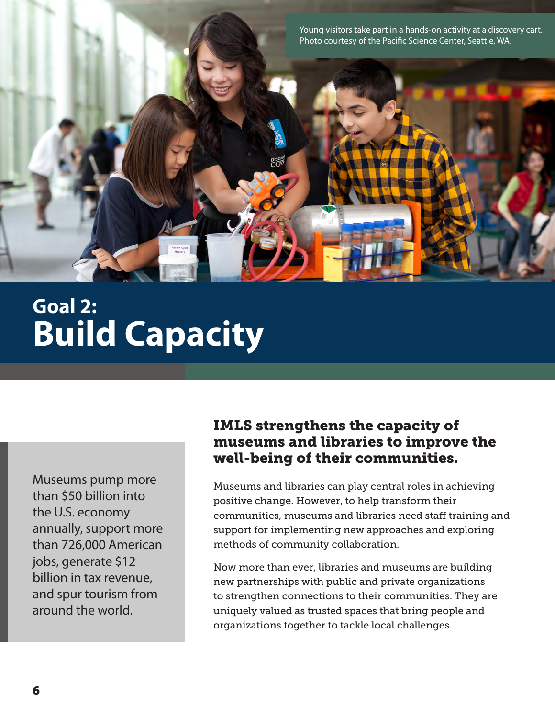

# **Goal 2: Build Capacity**

Museums pump more than \$50 billion into the U.S. economy annually, support more than 726,000 American jobs, generate \$12 billion in tax revenue, and spur tourism from around the world.

### IMLS strengthens the capacity of museums and libraries to improve the well-being of their communities.

Museums and libraries can play central roles in achieving positive change. However, to help transform their communities, museums and libraries need staff training and support for implementing new approaches and exploring methods of community collaboration.

Now more than ever, libraries and museums are building new partnerships with public and private organizations to strengthen connections to their communities. They are uniquely valued as trusted spaces that bring people and organizations together to tackle local challenges.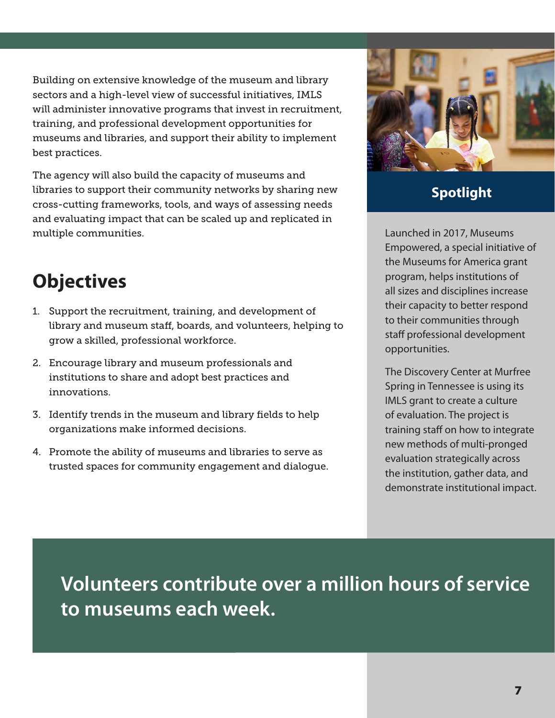Building on extensive knowledge of the museum and library sectors and a high-level view of successful initiatives, IMLS will administer innovative programs that invest in recruitment, training, and professional development opportunities for museums and libraries, and support their ability to implement best practices.

The agency will also build the capacity of museums and libraries to support their community networks by sharing new cross-cutting frameworks, tools, and ways of assessing needs and evaluating impact that can be scaled up and replicated in multiple communities.

### **Objectives**

- 1. Support the recruitment, training, and development of library and museum staff, boards, and volunteers, helping to grow a skilled, professional workforce.
- 2. Encourage library and museum professionals and institutions to share and adopt best practices and innovations.
- 3. Identify trends in the museum and library fields to help organizations make informed decisions.
- 4. Promote the ability of museums and libraries to serve as trusted spaces for community engagement and dialogue.



### **Spotlight**

Launched in 2017, Museums Empowered, a special initiative of the Museums for America grant program, helps institutions of all sizes and disciplines increase their capacity to better respond to their communities through staff professional development opportunities.

The Discovery Center at Murfree Spring in Tennessee is using its IMLS grant to create a culture of evaluation. The project is training staff on how to integrate new methods of multi-pronged evaluation strategically across the institution, gather data, and demonstrate institutional impact.

**Volunteers contribute over a million hours of service to museums each week.**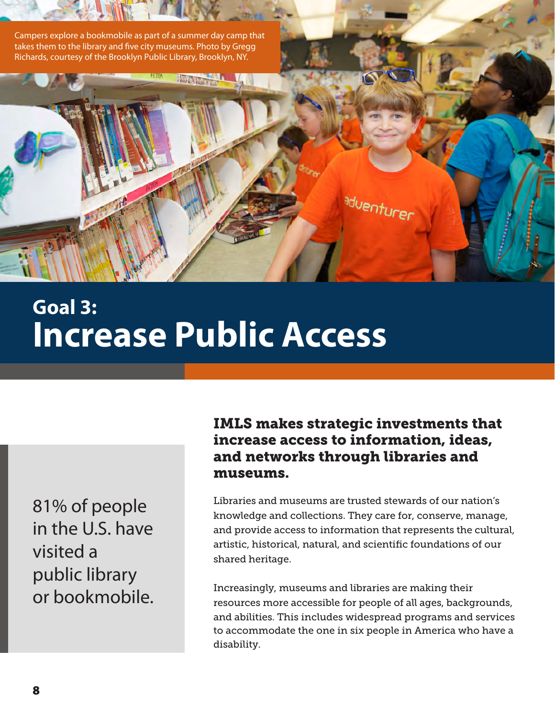

## **Goal 3: Increase Public Access**

81% of people in the U.S. have visited a public library or bookmobile.

### IMLS makes strategic investments that increase access to information, ideas, and networks through libraries and museums.

Libraries and museums are trusted stewards of our nation's knowledge and collections. They care for, conserve, manage, and provide access to information that represents the cultural, artistic, historical, natural, and scientific foundations of our shared heritage.

Increasingly, museums and libraries are making their resources more accessible for people of all ages, backgrounds, and abilities. This includes widespread programs and services to accommodate the one in six people in America who have a disability.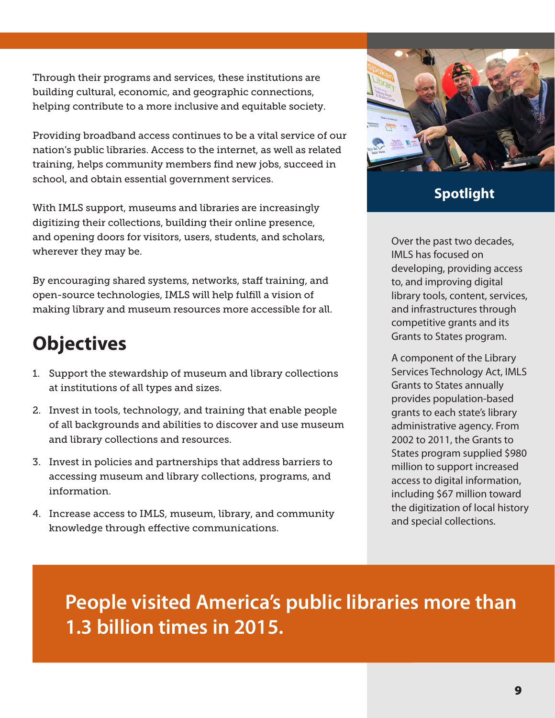Through their programs and services, these institutions are building cultural, economic, and geographic connections, helping contribute to a more inclusive and equitable society.

Providing broadband access continues to be a vital service of our nation's public libraries. Access to the internet, as well as related training, helps community members find new jobs, succeed in school, and obtain essential government services.

With IMLS support, museums and libraries are increasingly digitizing their collections, building their online presence, and opening doors for visitors, users, students, and scholars, wherever they may be.

By encouraging shared systems, networks, staff training, and open-source technologies, IMLS will help fulfill a vision of making library and museum resources more accessible for all.

### **Objectives**

- 1. Support the stewardship of museum and library collections at institutions of all types and sizes.
- 2. Invest in tools, technology, and training that enable people of all backgrounds and abilities to discover and use museum and library collections and resources.
- 3. Invest in policies and partnerships that address barriers to accessing museum and library collections, programs, and information.
- 4. Increase access to IMLS, museum, library, and community knowledge through effective communications.



### **Spotlight**

Over the past two decades, IMLS has focused on developing, providing access to, and improving digital library tools, content, services, and infrastructures through competitive grants and its Grants to States program.

A component of the Library Services Technology Act, IMLS Grants to States annually provides population-based grants to each state's library administrative agency. From 2002 to 2011, the Grants to States program supplied \$980 million to support increased access to digital information, including \$67 million toward the digitization of local history and special collections.

**People visited America's public libraries more than 1.3 billion times in 2015.**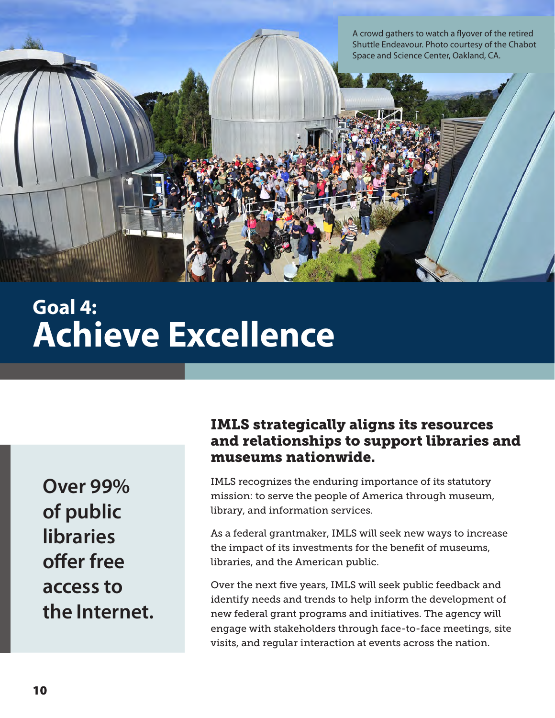A crowd gathers to watch a flyover of the retired Shuttle Endeavour. Photo courtesy of the Chabot Space and Science Center, Oakland, CA.

## **Goal 4: Achieve Excellence**

**Over 99% of public libraries offer free access to the Internet.**

### IMLS strategically aligns its resources and relationships to support libraries and museums nationwide.

IMLS recognizes the enduring importance of its statutory mission: to serve the people of America through museum, library, and information services.

As a federal grantmaker, IMLS will seek new ways to increase the impact of its investments for the benefit of museums, libraries, and the American public.

Over the next five years, IMLS will seek public feedback and identify needs and trends to help inform the development of new federal grant programs and initiatives. The agency will engage with stakeholders through face-to-face meetings, site visits, and regular interaction at events across the nation.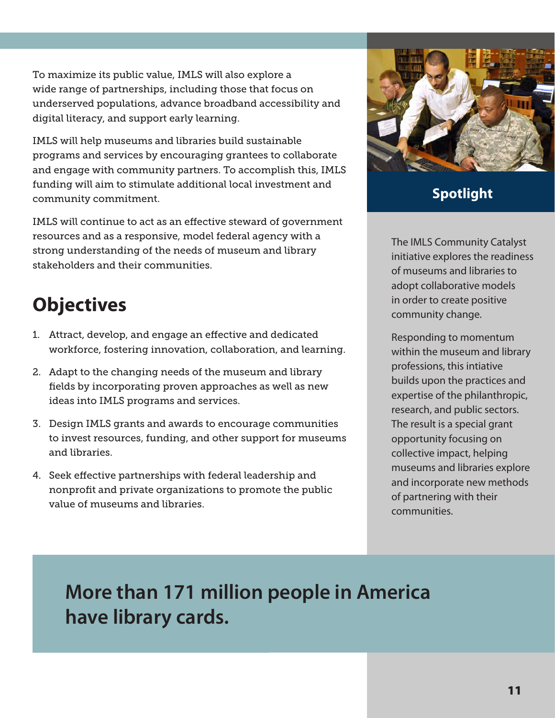To maximize its public value, IMLS will also explore a wide range of partnerships, including those that focus on underserved populations, advance broadband accessibility and digital literacy, and support early learning.

IMLS will help museums and libraries build sustainable programs and services by encouraging grantees to collaborate and engage with community partners. To accomplish this, IMLS funding will aim to stimulate additional local investment and community commitment.

IMLS will continue to act as an effective steward of government resources and as a responsive, model federal agency with a strong understanding of the needs of museum and library stakeholders and their communities.

### **Objectives**

- 1. Attract, develop, and engage an effective and dedicated workforce, fostering innovation, collaboration, and learning.
- 2. Adapt to the changing needs of the museum and library fields by incorporating proven approaches as well as new ideas into IMLS programs and services.
- 3. Design IMLS grants and awards to encourage communities to invest resources, funding, and other support for museums and libraries.
- 4. Seek effective partnerships with federal leadership and nonprofit and private organizations to promote the public value of museums and libraries.



### **Spotlight**

The IMLS Community Catalyst initiative explores the readiness of museums and libraries to adopt collaborative models in order to create positive community change.

Responding to momentum within the museum and library professions, this intiative builds upon the practices and expertise of the philanthropic, research, and public sectors. The result is a special grant opportunity focusing on collective impact, helping museums and libraries explore and incorporate new methods of partnering with their communities.

**More than 171 million people in America have library cards.**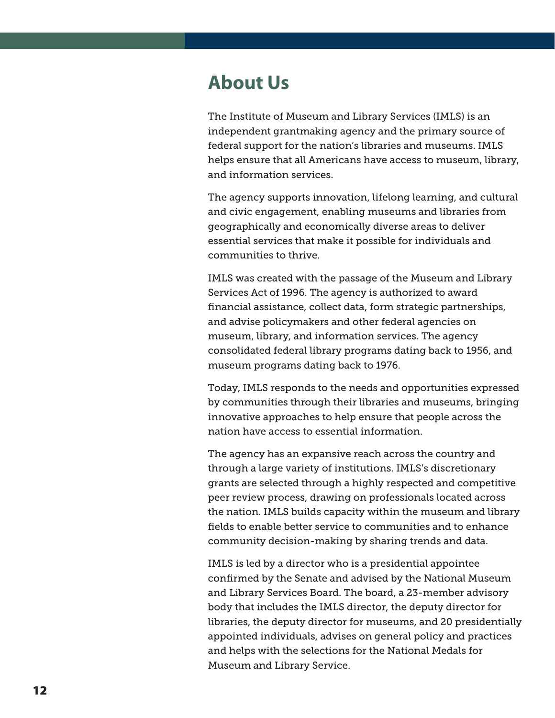### **About Us**

The Institute of Museum and Library Services (IMLS) is an independent grantmaking agency and the primary source of federal support for the nation's libraries and museums. IMLS helps ensure that all Americans have access to museum, library, and information services.

The agency supports innovation, lifelong learning, and cultural and civic engagement, enabling museums and libraries from geographically and economically diverse areas to deliver essential services that make it possible for individuals and communities to thrive.

IMLS was created with the passage of the Museum and Library Services Act of 1996. The agency is authorized to award financial assistance, collect data, form strategic partnerships, and advise policymakers and other federal agencies on museum, library, and information services. The agency consolidated federal library programs dating back to 1956, and museum programs dating back to 1976.

Today, IMLS responds to the needs and opportunities expressed by communities through their libraries and museums, bringing innovative approaches to help ensure that people across the nation have access to essential information.

The agency has an expansive reach across the country and through a large variety of institutions. IMLS's discretionary grants are selected through a highly respected and competitive peer review process, drawing on professionals located across the nation. IMLS builds capacity within the museum and library fields to enable better service to communities and to enhance community decision-making by sharing trends and data.

IMLS is led by a director who is a presidential appointee confirmed by the Senate and advised by the National Museum and Library Services Board. The board, a 23-member advisory body that includes the IMLS director, the deputy director for libraries, the deputy director for museums, and 20 presidentially appointed individuals, advises on general policy and practices and helps with the selections for the National Medals for Museum and Library Service.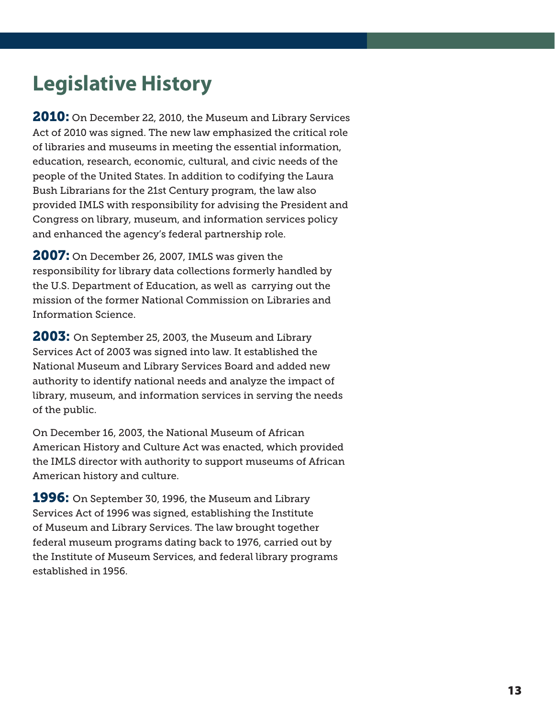### **Legislative History**

**2010:** On December 22, 2010, the Museum and Library Services Act of 2010 was signed. The new law emphasized the critical role of libraries and museums in meeting the essential information, education, research, economic, cultural, and civic needs of the people of the United States. In addition to codifying the Laura Bush Librarians for the 21st Century program, the law also provided IMLS with responsibility for advising the President and Congress on library, museum, and information services policy and enhanced the agency's federal partnership role.

**2007:** On December 26, 2007, IMLS was given the responsibility for library data collections formerly handled by the U.S. Department of Education, as well as carrying out the mission of the former National Commission on Libraries and Information Science.

**2003:** On September 25, 2003, the Museum and Library Services Act of 2003 was signed into law. It established the National Museum and Library Services Board and added new authority to identify national needs and analyze the impact of library, museum, and information services in serving the needs of the public.

On December 16, 2003, the National Museum of African American History and Culture Act was enacted, which provided the IMLS director with authority to support museums of African American history and culture.

**1996:** On September 30, 1996, the Museum and Library Services Act of 1996 was signed, establishing the Institute of Museum and Library Services. The law brought together federal museum programs dating back to 1976, carried out by the Institute of Museum Services, and federal library programs established in 1956.